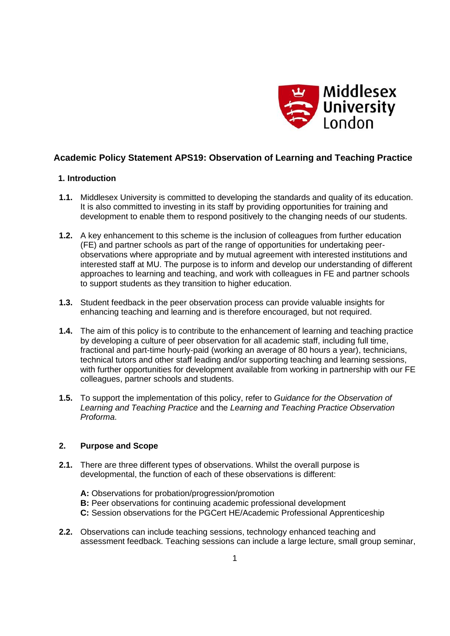

# **Academic Policy Statement APS19: Observation of Learning and Teaching Practice**

# **1. Introduction**

- **1.1.** Middlesex University is committed to developing the standards and quality of its education. It is also committed to investing in its staff by providing opportunities for training and development to enable them to respond positively to the changing needs of our students.
- **1.2.** A key enhancement to this scheme is the inclusion of colleagues from further education (FE) and partner schools as part of the range of opportunities for undertaking peerobservations where appropriate and by mutual agreement with interested institutions and interested staff at MU. The purpose is to inform and develop our understanding of different approaches to learning and teaching, and work with colleagues in FE and partner schools to support students as they transition to higher education.
- **1.3.** Student feedback in the peer observation process can provide valuable insights for enhancing teaching and learning and is therefore encouraged, but not required.
- **1.4.** The aim of this policy is to contribute to the enhancement of learning and teaching practice by developing a culture of peer observation for all academic staff, including full time, fractional and part-time hourly-paid (working an average of 80 hours a year), technicians, technical tutors and other staff leading and/or supporting teaching and learning sessions, with further opportunities for development available from working in partnership with our FE colleagues, partner schools and students.
- **1.5.** To support the implementation of this policy, refer to *Guidance for the Observation of Learning and Teaching Practice* and the *Learning and Teaching Practice Observation Proforma*.

# **2. Purpose and Scope**

- **2.1.** There are three different types of observations. Whilst the overall purpose is developmental, the function of each of these observations is different:
	- **A:** Observations for probation/progression/promotion **B:** Peer observations for continuing academic professional development **C:** Session observations for the PGCert HE/Academic Professional Apprenticeship
- **2.2.** Observations can include teaching sessions, technology enhanced teaching and assessment feedback. Teaching sessions can include a large lecture, small group seminar,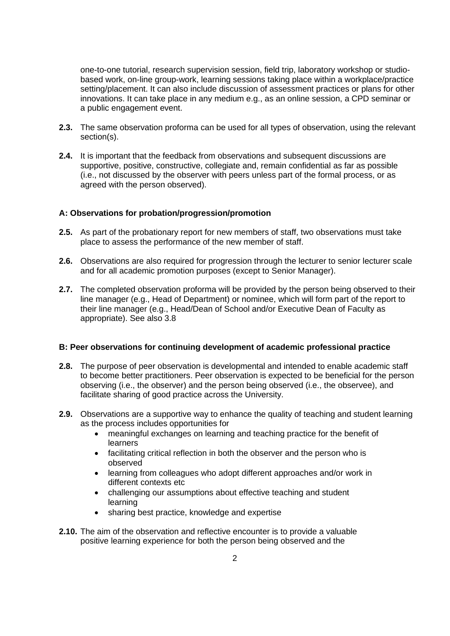one-to-one tutorial, research supervision session, field trip, laboratory workshop or studiobased work, on-line group-work, learning sessions taking place within a workplace/practice setting/placement. It can also include discussion of assessment practices or plans for other innovations. It can take place in any medium e.g., as an online session, a CPD seminar or a public engagement event.

- **2.3.** The same observation proforma can be used for all types of observation, using the relevant section(s).
- **2.4.** It is important that the feedback from observations and subsequent discussions are supportive, positive, constructive, collegiate and, remain confidential as far as possible (i.e., not discussed by the observer with peers unless part of the formal process, or as agreed with the person observed).

# **A: Observations for probation/progression/promotion**

- **2.5.** As part of the probationary report for new members of staff, two observations must take place to assess the performance of the new member of staff.
- **2.6.** Observations are also required for progression through the lecturer to senior lecturer scale and for all academic promotion purposes (except to Senior Manager).
- **2.7.** The completed observation proforma will be provided by the person being observed to their line manager (e.g., Head of Department) or nominee, which will form part of the report to their line manager (e.g., Head/Dean of School and/or Executive Dean of Faculty as appropriate). See also 3.8

## **B: Peer observations for continuing development of academic professional practice**

- **2.8.** The purpose of peer observation is developmental and intended to enable academic staff to become better practitioners. Peer observation is expected to be beneficial for the person observing (i.e., the observer) and the person being observed (i.e., the observee), and facilitate sharing of good practice across the University.
- **2.9.** Observations are a supportive way to enhance the quality of teaching and student learning as the process includes opportunities for
	- meaningful exchanges on learning and teaching practice for the benefit of learners
	- facilitating critical reflection in both the observer and the person who is observed
	- learning from colleagues who adopt different approaches and/or work in different contexts etc
	- challenging our assumptions about effective teaching and student learning
	- sharing best practice, knowledge and expertise
- **2.10.** The aim of the observation and reflective encounter is to provide a valuable positive learning experience for both the person being observed and the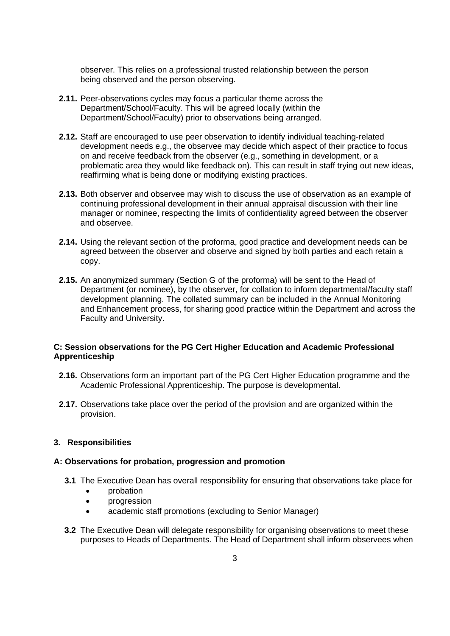observer. This relies on a professional trusted relationship between the person being observed and the person observing.

- **2.11.** Peer-observations cycles may focus a particular theme across the Department/School/Faculty. This will be agreed locally (within the Department/School/Faculty) prior to observations being arranged.
- **2.12.** Staff are encouraged to use peer observation to identify individual teaching-related development needs e.g., the observee may decide which aspect of their practice to focus on and receive feedback from the observer (e.g., something in development, or a problematic area they would like feedback on). This can result in staff trying out new ideas, reaffirming what is being done or modifying existing practices.
- **2.13.** Both observer and observee may wish to discuss the use of observation as an example of continuing professional development in their annual appraisal discussion with their line manager or nominee, respecting the limits of confidentiality agreed between the observer and observee.
- **2.14.** Using the relevant section of the proforma, good practice and development needs can be agreed between the observer and observe and signed by both parties and each retain a copy.
- **2.15.** An anonymized summary (Section G of the proforma) will be sent to the Head of Department (or nominee), by the observer, for collation to inform departmental/faculty staff development planning. The collated summary can be included in the Annual Monitoring and Enhancement process, for sharing good practice within the Department and across the Faculty and University.

# **C: Session observations for the PG Cert Higher Education and Academic Professional Apprenticeship**

- **2.16.** Observations form an important part of the PG Cert Higher Education programme and the Academic Professional Apprenticeship. The purpose is developmental.
- **2.17.** Observations take place over the period of the provision and are organized within the provision.

## **3. Responsibilities**

## **A: Observations for probation, progression and promotion**

- **3.1** The Executive Dean has overall responsibility for ensuring that observations take place for
	- probation
	- progression
	- academic staff promotions (excluding to Senior Manager)
- **3.2** The Executive Dean will delegate responsibility for organising observations to meet these purposes to Heads of Departments. The Head of Department shall inform observees when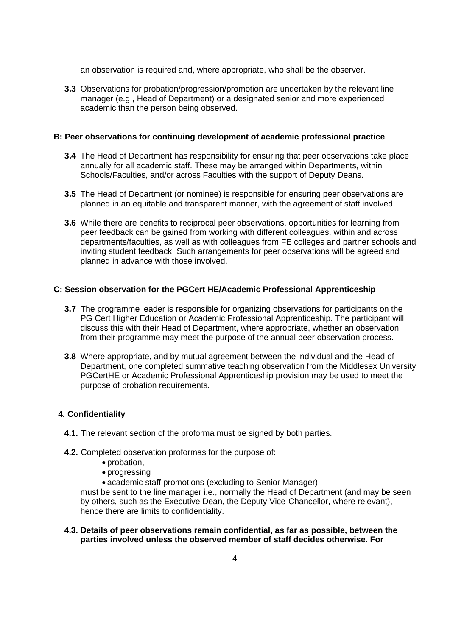an observation is required and, where appropriate, who shall be the observer.

**3.3** Observations for probation/progression/promotion are undertaken by the relevant line manager (e.g., Head of Department) or a designated senior and more experienced academic than the person being observed.

#### **B: Peer observations for continuing development of academic professional practice**

- **3.4** The Head of Department has responsibility for ensuring that peer observations take place annually for all academic staff. These may be arranged within Departments, within Schools/Faculties, and/or across Faculties with the support of Deputy Deans.
- **3.5** The Head of Department (or nominee) is responsible for ensuring peer observations are planned in an equitable and transparent manner, with the agreement of staff involved.
- **3.6** While there are benefits to reciprocal peer observations, opportunities for learning from peer feedback can be gained from working with different colleagues, within and across departments/faculties, as well as with colleagues from FE colleges and partner schools and inviting student feedback. Such arrangements for peer observations will be agreed and planned in advance with those involved.

#### **C: Session observation for the PGCert HE/Academic Professional Apprenticeship**

- **3.7** The programme leader is responsible for organizing observations for participants on the PG Cert Higher Education or Academic Professional Apprenticeship. The participant will discuss this with their Head of Department, where appropriate, whether an observation from their programme may meet the purpose of the annual peer observation process.
- **3.8** Where appropriate, and by mutual agreement between the individual and the Head of Department, one completed summative teaching observation from the Middlesex University PGCertHE or Academic Professional Apprenticeship provision may be used to meet the purpose of probation requirements.

## **4. Confidentiality**

- **4.1.** The relevant section of the proforma must be signed by both parties.
- **4.2.** Completed observation proformas for the purpose of:
	- probation,
	- progressing
	- academic staff promotions (excluding to Senior Manager)

must be sent to the line manager i.e., normally the Head of Department (and may be seen by others, such as the Executive Dean, the Deputy Vice-Chancellor, where relevant), hence there are limits to confidentiality.

## **4.3. Details of peer observations remain confidential, as far as possible, between the parties involved unless the observed member of staff decides otherwise. For**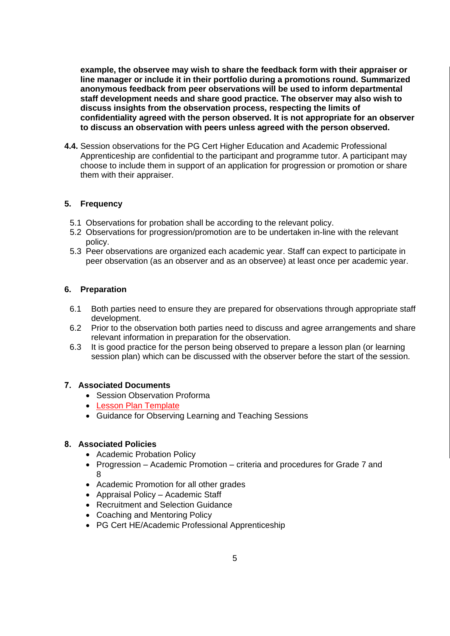**example, the observee may wish to share the feedback form with their appraiser or line manager or include it in their portfolio during a promotions round. Summarized anonymous feedback from peer observations will be used to inform departmental staff development needs and share good practice. The observer may also wish to discuss insights from the observation process, respecting the limits of confidentiality agreed with the person observed. It is not appropriate for an observer to discuss an observation with peers unless agreed with the person observed.** 

**4.4.** Session observations for the PG Cert Higher Education and Academic Professional Apprenticeship are confidential to the participant and programme tutor. A participant may choose to include them in support of an application for progression or promotion or share them with their appraiser.

# **5. Frequency**

- 5.1 Observations for probation shall be according to the relevant policy.
- 5.2 Observations for progression/promotion are to be undertaken in-line with the relevant policy.
- 5.3 Peer observations are organized each academic year. Staff can expect to participate in peer observation (as an observer and as an observee) at least once per academic year.

# **6. Preparation**

- 6.1 Both parties need to ensure they are prepared for observations through appropriate staff development.
- 6.2 Prior to the observation both parties need to discuss and agree arrangements and share relevant information in preparation for the observation.
- 6.3 It is good practice for the person being observed to prepare a lesson plan (or learning session plan) which can be discussed with the observer before the start of the session.

# **7. Associated Documents**

- Session Observation Proforma
- [Lesson Plan Template](#page-6-0)
- Guidance for Observing Learning and Teaching Sessions

# **8. Associated Policies**

- Academic Probation Policy
- Progression Academic Promotion criteria and procedures for Grade 7 and 8
- Academic Promotion for all other grades
- Appraisal Policy Academic Staff
- Recruitment and Selection Guidance
- Coaching and Mentoring Policy
- PG Cert HE/Academic Professional Apprenticeship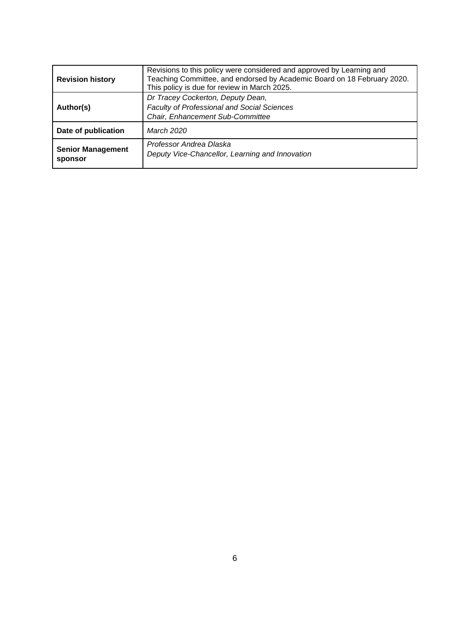| <b>Revision history</b>             | Revisions to this policy were considered and approved by Learning and<br>Teaching Committee, and endorsed by Academic Board on 18 February 2020.<br>This policy is due for review in March 2025. |  |  |
|-------------------------------------|--------------------------------------------------------------------------------------------------------------------------------------------------------------------------------------------------|--|--|
| Author(s)                           | Dr Tracey Cockerton, Deputy Dean,<br>Faculty of Professional and Social Sciences<br>Chair, Enhancement Sub-Committee                                                                             |  |  |
| Date of publication                 | March 2020                                                                                                                                                                                       |  |  |
| <b>Senior Management</b><br>sponsor | Professor Andrea Dlaska<br>Deputy Vice-Chancellor, Learning and Innovation                                                                                                                       |  |  |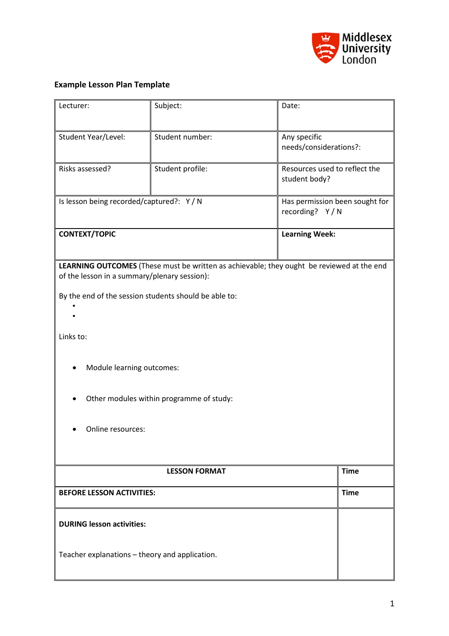

# <span id="page-6-0"></span>**Example Lesson Plan Template**

| Lecturer:                                                                                                                                 | Subject:              | Date:         |                                                  |  |
|-------------------------------------------------------------------------------------------------------------------------------------------|-----------------------|---------------|--------------------------------------------------|--|
| Student Year/Level:                                                                                                                       | Student number:       | Any specific  | needs/considerations?:                           |  |
| Risks assessed?                                                                                                                           | Student profile:      | student body? | Resources used to reflect the                    |  |
| Is lesson being recorded/captured?: Y/N                                                                                                   |                       |               | Has permission been sought for<br>recording? Y/N |  |
| <b>CONTEXT/TOPIC</b>                                                                                                                      | <b>Learning Week:</b> |               |                                                  |  |
| LEARNING OUTCOMES (These must be written as achievable; they ought be reviewed at the end<br>of the lesson in a summary/plenary session): |                       |               |                                                  |  |
| By the end of the session students should be able to:                                                                                     |                       |               |                                                  |  |
| Links to:                                                                                                                                 |                       |               |                                                  |  |
| Module learning outcomes:                                                                                                                 |                       |               |                                                  |  |
| Other modules within programme of study:                                                                                                  |                       |               |                                                  |  |
| Online resources:                                                                                                                         |                       |               |                                                  |  |
| <b>LESSON FORMAT</b>                                                                                                                      |                       |               | <b>Time</b>                                      |  |
| <b>BEFORE LESSON ACTIVITIES:</b>                                                                                                          |                       |               | <b>Time</b>                                      |  |
| <b>DURING lesson activities:</b>                                                                                                          |                       |               |                                                  |  |
| Teacher explanations - theory and application.                                                                                            |                       |               |                                                  |  |